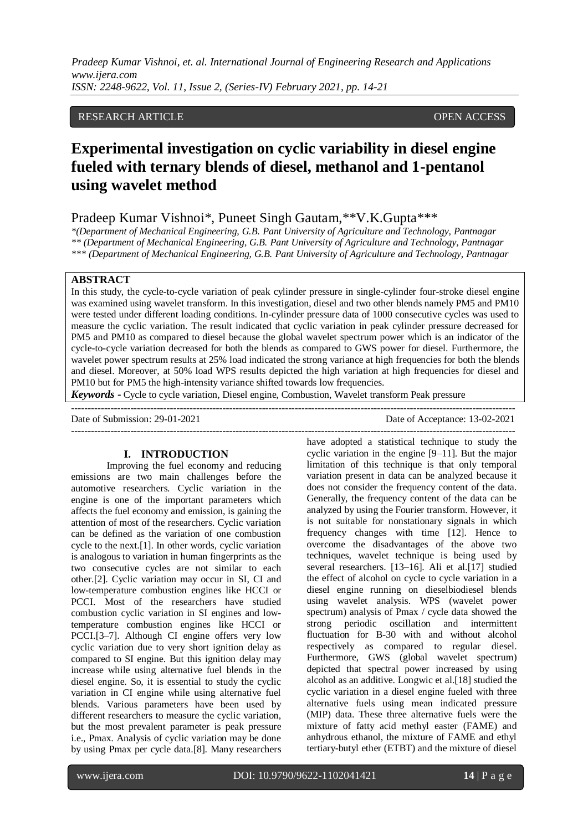## RESEARCH ARTICLE **OPEN ACCESS**

# **Experimental investigation on cyclic variability in diesel engine fueled with ternary blends of diesel, methanol and 1-pentanol using wavelet method**

Pradeep Kumar Vishnoi\*, Puneet Singh Gautam,\*\*V.K.Gupta\*\*\*

*\*(Department of Mechanical Engineering, G.B. Pant University of Agriculture and Technology, Pantnagar \*\* (Department of Mechanical Engineering, G.B. Pant University of Agriculture and Technology, Pantnagar \*\*\* (Department of Mechanical Engineering, G.B. Pant University of Agriculture and Technology, Pantnagar*

## **ABSTRACT**

In this study, the cycle-to-cycle variation of peak cylinder pressure in single-cylinder four-stroke diesel engine was examined using wavelet transform. In this investigation, diesel and two other blends namely PM5 and PM10 were tested under different loading conditions. In-cylinder pressure data of 1000 consecutive cycles was used to measure the cyclic variation. The result indicated that cyclic variation in peak cylinder pressure decreased for PM5 and PM10 as compared to diesel because the global wavelet spectrum power which is an indicator of the cycle-to-cycle variation decreased for both the blends as compared to GWS power for diesel. Furthermore, the wavelet power spectrum results at 25% load indicated the strong variance at high frequencies for both the blends and diesel. Moreover, at 50% load WPS results depicted the high variation at high frequencies for diesel and PM10 but for PM5 the high-intensity variance shifted towards low frequencies.

*Keywords* **-** Cycle to cycle variation, Diesel engine, Combustion, Wavelet transform Peak pressure

--------------------------------------------------------------------------------------------------------------------------------------- Date of Submission: 29-01-2021 Date of Acceptance: 13-02-2021 ---------------------------------------------------------------------------------------------------------------------------------------

#### **I. INTRODUCTION**

Improving the fuel economy and reducing emissions are two main challenges before the automotive researchers. Cyclic variation in the engine is one of the important parameters which affects the fuel economy and emission, is gaining the attention of most of the researchers. Cyclic variation can be defined as the variation of one combustion cycle to the next.[1]. In other words, cyclic variation is analogous to variation in human fingerprints as the two consecutive cycles are not similar to each other.[2]. Cyclic variation may occur in SI, CI and low-temperature combustion engines like HCCI or PCCI. Most of the researchers have studied combustion cyclic variation in SI engines and lowtemperature combustion engines like HCCI or PCCI.[3–7]. Although CI engine offers very low cyclic variation due to very short ignition delay as compared to SI engine. But this ignition delay may increase while using alternative fuel blends in the diesel engine. So, it is essential to study the cyclic variation in CI engine while using alternative fuel blends. Various parameters have been used by different researchers to measure the cyclic variation, but the most prevalent parameter is peak pressure i.e., Pmax. Analysis of cyclic variation may be done by using Pmax per cycle data.[8]. Many researchers

have adopted a statistical technique to study the cyclic variation in the engine [9–11]. But the major limitation of this technique is that only temporal variation present in data can be analyzed because it does not consider the frequency content of the data. Generally, the frequency content of the data can be analyzed by using the Fourier transform. However, it is not suitable for nonstationary signals in which frequency changes with time [12]. Hence to overcome the disadvantages of the above two techniques, wavelet technique is being used by several researchers. [13–16]. Ali et al.[17] studied the effect of alcohol on cycle to cycle variation in a diesel engine running on dieselbiodiesel blends using wavelet analysis. WPS (wavelet power spectrum) analysis of Pmax / cycle data showed the strong periodic oscillation and intermittent fluctuation for B-30 with and without alcohol respectively as compared to regular diesel. Furthermore, GWS (global wavelet spectrum) depicted that spectral power increased by using alcohol as an additive. Longwic et al.[18] studied the cyclic variation in a diesel engine fueled with three alternative fuels using mean indicated pressure (MIP) data. These three alternative fuels were the mixture of fatty acid methyl easter (FAME) and anhydrous ethanol, the mixture of FAME and ethyl tertiary-butyl ether (ETBT) and the mixture of diesel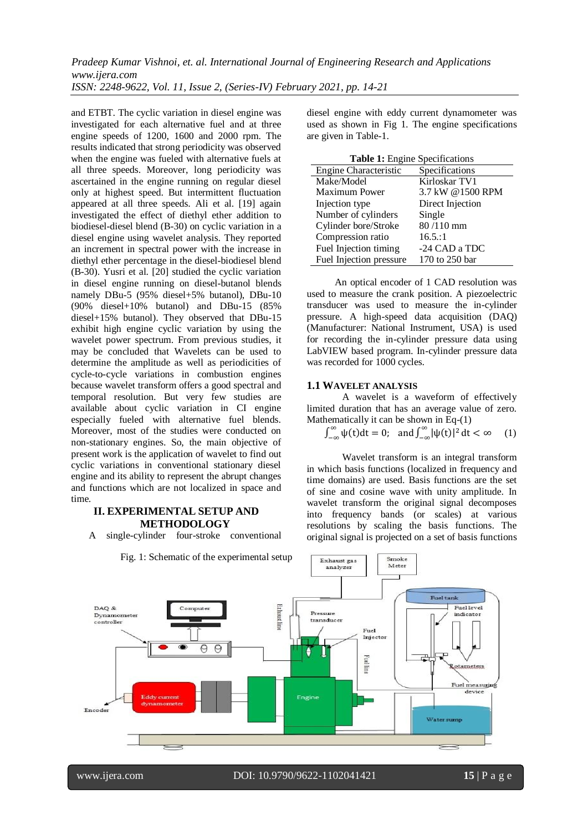and ETBT. The cyclic variation in diesel engine was investigated for each alternative fuel and at three engine speeds of 1200, 1600 and 2000 rpm. The results indicated that strong periodicity was observed when the engine was fueled with alternative fuels at all three speeds. Moreover, long periodicity was ascertained in the engine running on regular diesel only at highest speed. But intermittent fluctuation appeared at all three speeds. Ali et al. [19] again investigated the effect of diethyl ether addition to biodiesel-diesel blend (B-30) on cyclic variation in a diesel engine using wavelet analysis. They reported an increment in spectral power with the increase in diethyl ether percentage in the diesel-biodiesel blend (B-30). Yusri et al. [20] studied the cyclic variation in diesel engine running on diesel-butanol blends namely DBu-5 (95% diesel+5% butanol), DBu-10 (90% diesel+10% butanol) and DBu-15 (85% diesel+15% butanol). They observed that DBu-15 exhibit high engine cyclic variation by using the wavelet power spectrum. From previous studies, it may be concluded that Wavelets can be used to determine the amplitude as well as periodicities of cycle-to-cycle variations in combustion engines because wavelet transform offers a good spectral and temporal resolution. But very few studies are available about cyclic variation in CI engine especially fueled with alternative fuel blends. Moreover, most of the studies were conducted on non-stationary engines. So, the main objective of present work is the application of wavelet to find out cyclic variations in conventional stationary diesel engine and its ability to represent the abrupt changes and functions which are not localized in space and time.

## **II. EXPERIMENTAL SETUP AND METHODOLOGY**

A single-cylinder four-stroke conventional

Fig. 1: Schematic of the experimental setup

diesel engine with eddy current dynamometer was used as shown in Fig 1. The engine specifications are given in Table-1.

|  |  | <b>Table 1:</b> Engine Specifications |
|--|--|---------------------------------------|
|--|--|---------------------------------------|

| <b>Engine Characteristic</b> | Specifications   |
|------------------------------|------------------|
| Make/Model                   | Kirloskar TV1    |
| <b>Maximum Power</b>         | 3.7 kW @1500 RPM |
| Injection type               | Direct Injection |
| Number of cylinders          | Single           |
| Cylinder bore/Stroke         | 80/110 mm        |
| Compression ratio            | 16.5:1           |
| Fuel Injection timing        | -24 CAD a TDC    |
| Fuel Injection pressure      | 170 to 250 bar   |

An optical encoder of 1 CAD resolution was used to measure the crank position. A piezoelectric transducer was used to measure the in-cylinder pressure. A high-speed data acquisition (DAQ) (Manufacturer: National Instrument, USA) is used for recording the in-cylinder pressure data using LabVIEW based program. In-cylinder pressure data was recorded for 1000 cycles.

#### **1.1 WAVELET ANALYSIS**

Exhaust gas

A wavelet is a waveform of effectively limited duration that has an average value of zero. Mathematically it can be shown in Eq-(1)

$$
\int_{-\infty}^{\infty} \psi(t) dt = 0; \text{ and } \int_{-\infty}^{\infty} |\psi(t)|^2 dt < \infty \quad (1)
$$

Wavelet transform is an integral transform in which basis functions (localized in frequency and time domains) are used. Basis functions are the set of sine and cosine wave with unity amplitude. In wavelet transform the original signal decomposes into frequency bands (or scales) at various resolutions by scaling the basis functions. The original signal is projected on a set of basis functions

Smoke

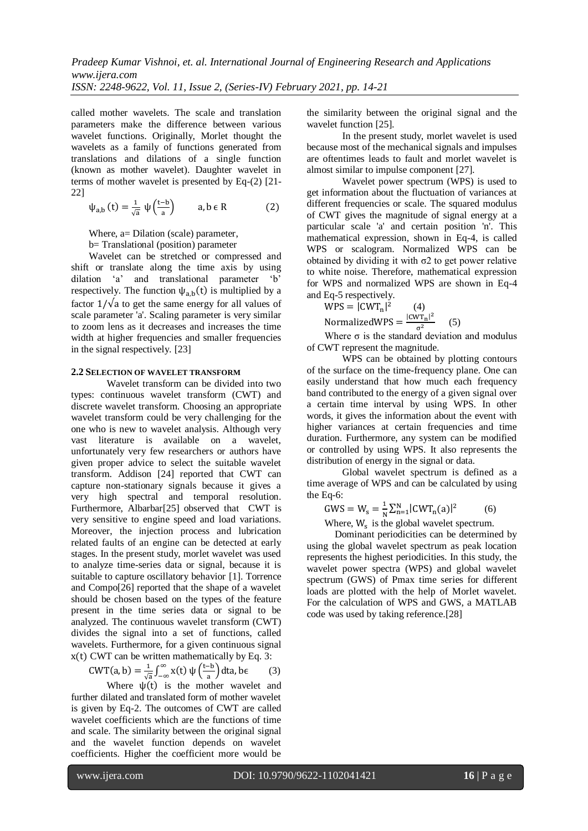called mother wavelets. The scale and translation parameters make the difference between various wavelet functions. Originally, Morlet thought the wavelets as a family of functions generated from translations and dilations of a single function (known as mother wavelet). Daughter wavelet in terms of mother wavelet is presented by Eq-(2) [21- 22]

$$
\psi_{a,b}\left(t\right)=\tfrac{1}{\sqrt{a}}\;\psi\left(\tfrac{t-b}{a}\right)\qquad a,b\;\varepsilon\;\text{R}\qquad \qquad (2)
$$

Where, a= Dilation (scale) parameter,

b= Translational (position) parameter

Wavelet can be stretched or compressed and shift or translate along the time axis by using dilation 'a' and translational parameter 'b' respectively. The function  $\psi_{a,b}(t)$  is multiplied by a factor  $1/\sqrt{a}$  to get the same energy for all values of scale parameter 'a'. Scaling parameter is very similar to zoom lens as it decreases and increases the time width at higher frequencies and smaller frequencies in the signal respectively. [23]

#### **2.2 SELECTION OF WAVELET TRANSFORM**

Wavelet transform can be divided into two types: continuous wavelet transform (CWT) and discrete wavelet transform. Choosing an appropriate wavelet transform could be very challenging for the one who is new to wavelet analysis. Although very vast literature is available on a wavelet, unfortunately very few researchers or authors have given proper advice to select the suitable wavelet transform. Addison [24] reported that CWT can capture non-stationary signals because it gives a very high spectral and temporal resolution. Furthermore, Albarbar[25] observed that CWT is very sensitive to engine speed and load variations. Moreover, the injection process and lubrication related faults of an engine can be detected at early stages. In the present study, morlet wavelet was used to analyze time-series data or signal, because it is suitable to capture oscillatory behavior [1]. Torrence and Compo[26] reported that the shape of a wavelet should be chosen based on the types of the feature present in the time series data or signal to be analyzed. The continuous wavelet transform (CWT) divides the signal into a set of functions, called wavelets. Furthermore, for a given continuous signal  $x(t)$  CWT can be written mathematically by Eq. 3:

$$
CWT(a, b) = \frac{1}{\sqrt{a}} \int_{-\infty}^{\infty} x(t) \psi\left(\frac{t-b}{a}\right) dt, b \in (3)
$$

Where  $\psi(t)$  is the mother wavelet and further dilated and translated form of mother wavelet is given by Eq-2. The outcomes of CWT are called wavelet coefficients which are the functions of time and scale. The similarity between the original signal and the wavelet function depends on wavelet coefficients. Higher the coefficient more would be

the similarity between the original signal and the wavelet function [25].

In the present study, morlet wavelet is used because most of the mechanical signals and impulses are oftentimes leads to fault and morlet wavelet is almost similar to impulse component [27].

Wavelet power spectrum (WPS) is used to get information about the fluctuation of variances at different frequencies or scale. The squared modulus of CWT gives the magnitude of signal energy at a particular scale 'a' and certain position 'n'. This mathematical expression, shown in Eq-4, is called WPS or scalogram. Normalized WPS can be obtained by dividing it with  $\sigma$ 2 to get power relative to white noise. Therefore, mathematical expression for WPS and normalized WPS are shown in Eq-4 and Eq-5 respectively.

$$
WPS = |CWT_{n}|^{2}
$$
 (4)  
NormalizedWPS = 
$$
\frac{|CWT_{n}|^{2}}{\sigma^{2}}
$$
 (5)

Where  $\sigma$  is the standard deviation and modulus of CWT represent the magnitude.

WPS can be obtained by plotting contours of the surface on the time-frequency plane. One can easily understand that how much each frequency band contributed to the energy of a given signal over a certain time interval by using WPS. In other words, it gives the information about the event with higher variances at certain frequencies and time duration. Furthermore, any system can be modified or controlled by using WPS. It also represents the distribution of energy in the signal or data.

Global wavelet spectrum is defined as a time average of WPS and can be calculated by using the Eq-6:

$$
GWS = W_s = \frac{1}{N} \sum_{n=1}^{N} |CWT_n(a)|^2
$$
 (6)

Where,  $W_s$  is the global wavelet spectrum.

Dominant periodicities can be determined by using the global wavelet spectrum as peak location represents the highest periodicities. In this study, the wavelet power spectra (WPS) and global wavelet spectrum (GWS) of Pmax time series for different loads are plotted with the help of Morlet wavelet. For the calculation of WPS and GWS, a MATLAB code was used by taking reference.[28]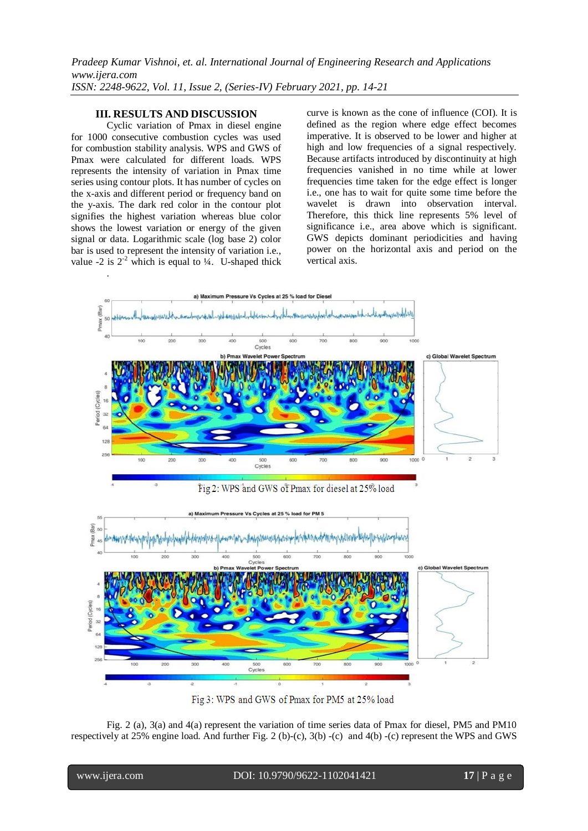## **III. RESULTS AND DISCUSSION**

Cyclic variation of Pmax in diesel engine for 1000 consecutive combustion cycles was used for combustion stability analysis. WPS and GWS of Pmax were calculated for different loads. WPS represents the intensity of variation in Pmax time series using contour plots. It has number of cycles on the x-axis and different period or frequency band on the y-axis. The dark red color in the contour plot signifies the highest variation whereas blue color shows the lowest variation or energy of the given signal or data. Logarithmic scale (log base 2) color bar is used to represent the intensity of variation i.e., value -2 is  $2^{-2}$  which is equal to  $\frac{1}{4}$ . U-shaped thick

.

curve is known as the cone of influence (COI). It is defined as the region where edge effect becomes imperative. It is observed to be lower and higher at high and low frequencies of a signal respectively. Because artifacts introduced by discontinuity at high frequencies vanished in no time while at lower frequencies time taken for the edge effect is longer i.e., one has to wait for quite some time before the wavelet is drawn into observation interval. Therefore, this thick line represents 5% level of significance i.e., area above which is significant. GWS depicts dominant periodicities and having power on the horizontal axis and period on the vertical axis.



Fig 3: WPS and GWS of Pmax for PM5 at 25% load

Fig. 2 (a), 3(a) and 4(a) represent the variation of time series data of Pmax for diesel, PM5 and PM10 respectively at 25% engine load. And further Fig. 2 (b)-(c), 3(b) -(c) and 4(b) -(c) represent the WPS and GWS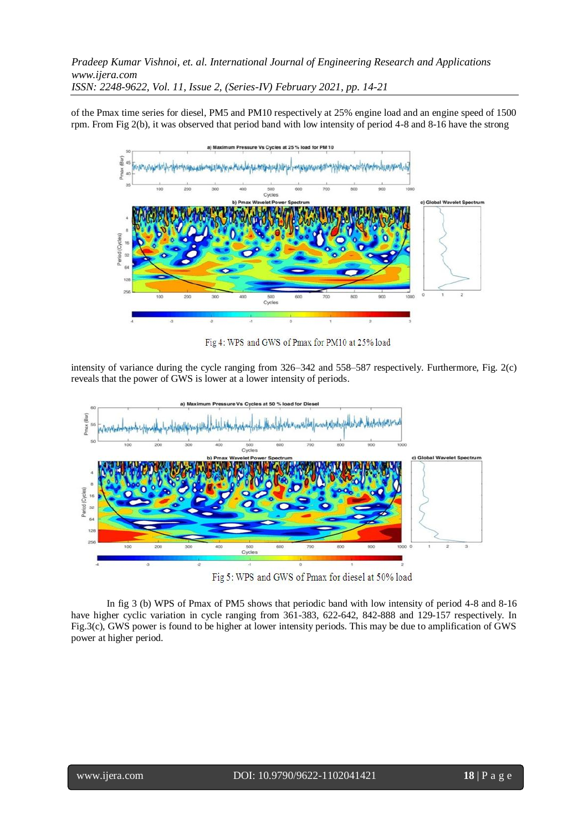of the Pmax time series for diesel, PM5 and PM10 respectively at 25% engine load and an engine speed of 1500 rpm. From Fig 2(b), it was observed that period band with low intensity of period 4-8 and 8-16 have the strong



Fig 4: WPS and GWS of Pmax for PM10 at 25% load

intensity of variance during the cycle ranging from 326–342 and 558–587 respectively. Furthermore, Fig. 2(c) reveals that the power of GWS is lower at a lower intensity of periods.



Fig 5: WPS and GWS of Pmax for diesel at 50% load

In fig 3 (b) WPS of Pmax of PM5 shows that periodic band with low intensity of period 4-8 and 8-16 have higher cyclic variation in cycle ranging from 361-383, 622-642, 842-888 and 129-157 respectively. In Fig.3(c), GWS power is found to be higher at lower intensity periods. This may be due to amplification of GWS power at higher period.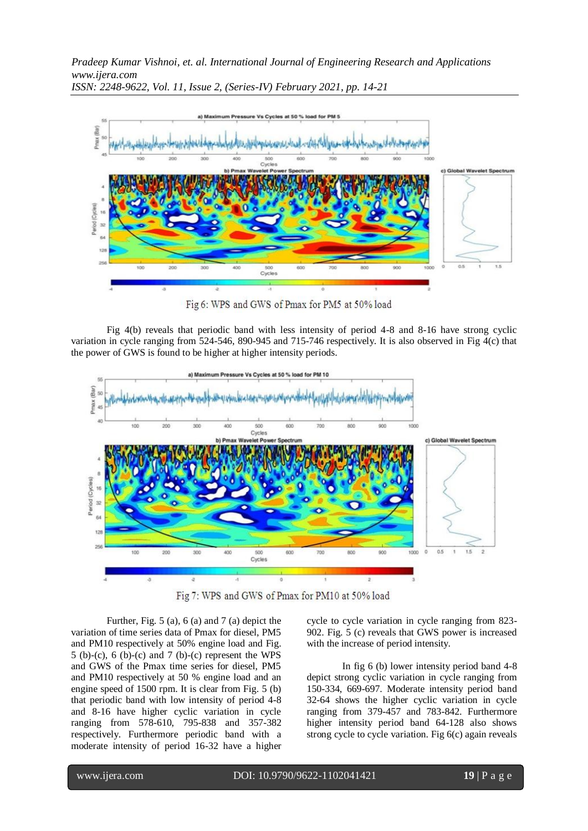

Fig 6: WPS and GWS of Pmax for PM5 at 50% load

Fig 4(b) reveals that periodic band with less intensity of period 4-8 and 8-16 have strong cyclic variation in cycle ranging from 524-546, 890-945 and 715-746 respectively. It is also observed in Fig 4(c) that the power of GWS is found to be higher at higher intensity periods.



Fig 7: WPS and GWS of Pmax for PM10 at 50% load

Further, Fig. 5 (a), 6 (a) and 7 (a) depict the variation of time series data of Pmax for diesel, PM5 and PM10 respectively at 50% engine load and Fig. 5 (b)-(c), 6 (b)-(c) and 7 (b)-(c) represent the WPS and GWS of the Pmax time series for diesel, PM5 and PM10 respectively at 50 % engine load and an engine speed of 1500 rpm. It is clear from Fig. 5 (b) that periodic band with low intensity of period 4-8 and 8-16 have higher cyclic variation in cycle ranging from 578-610, 795-838 and 357-382 respectively. Furthermore periodic band with a moderate intensity of period 16-32 have a higher

cycle to cycle variation in cycle ranging from 823- 902. Fig. 5 (c) reveals that GWS power is increased with the increase of period intensity.

In fig 6 (b) lower intensity period band 4-8 depict strong cyclic variation in cycle ranging from 150-334, 669-697. Moderate intensity period band 32-64 shows the higher cyclic variation in cycle ranging from 379-457 and 783-842. Furthermore higher intensity period band 64-128 also shows strong cycle to cycle variation. Fig 6(c) again reveals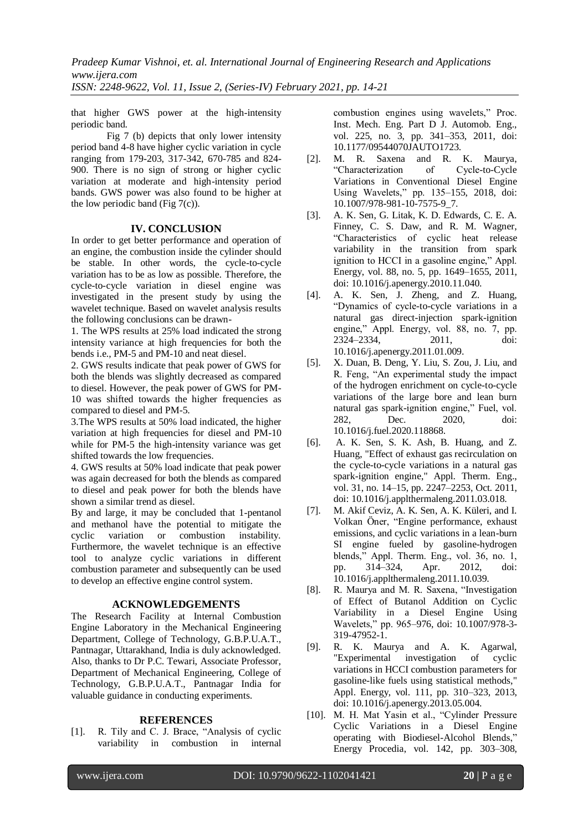that higher GWS power at the high-intensity periodic band.

Fig 7 (b) depicts that only lower intensity period band 4-8 have higher cyclic variation in cycle ranging from 179-203, 317-342, 670-785 and 824- 900. There is no sign of strong or higher cyclic variation at moderate and high-intensity period bands. GWS power was also found to be higher at the low periodic band (Fig  $7(c)$ ).

## **IV. CONCLUSION**

In order to get better performance and operation of an engine, the combustion inside the cylinder should be stable. In other words, the cycle-to-cycle variation has to be as low as possible. Therefore, the cycle-to-cycle variation in diesel engine was investigated in the present study by using the wavelet technique. Based on wavelet analysis results the following conclusions can be drawn-

1. The WPS results at 25% load indicated the strong intensity variance at high frequencies for both the bends i.e., PM-5 and PM-10 and neat diesel.

2. GWS results indicate that peak power of GWS for both the blends was slightly decreased as compared to diesel. However, the peak power of GWS for PM-10 was shifted towards the higher frequencies as compared to diesel and PM-5.

3.The WPS results at 50% load indicated, the higher variation at high frequencies for diesel and PM-10 while for PM-5 the high-intensity variance was get shifted towards the low frequencies.

4. GWS results at 50% load indicate that peak power was again decreased for both the blends as compared to diesel and peak power for both the blends have shown a similar trend as diesel.

By and large, it may be concluded that 1-pentanol and methanol have the potential to mitigate the cyclic variation or combustion instability. Furthermore, the wavelet technique is an effective tool to analyze cyclic variations in different combustion parameter and subsequently can be used to develop an effective engine control system.

#### **ACKNOWLEDGEMENTS**

The Research Facility at Internal Combustion Engine Laboratory in the Mechanical Engineering Department, College of Technology, G.B.P.U.A.T., Pantnagar, Uttarakhand, India is duly acknowledged. Also, thanks to Dr P.C. Tewari, Associate Professor, Department of Mechanical Engineering, College of Technology, G.B.P.U.A.T., Pantnagar India for valuable guidance in conducting experiments.

#### **REFERENCES**

[1]. R. Tily and C. J. Brace, "Analysis of cyclic variability in combustion in internal

combustion engines using wavelets," Proc. Inst. Mech. Eng. Part D J. Automob. Eng., vol. 225, no. 3, pp. 341–353, 2011, doi: 10.1177/09544070JAUTO1723.

- [2]. M. R. Saxena and R. K. Maurya, "Characterization of Cycle-to-Cycle Variations in Conventional Diesel Engine Using Wavelets," pp. 135–155, 2018, doi: 10.1007/978-981-10-7575-9\_7.
- [3]. A. K. Sen, G. Litak, K. D. Edwards, C. E. A. Finney, C. S. Daw, and R. M. Wagner, "Characteristics of cyclic heat release variability in the transition from spark ignition to HCCI in a gasoline engine," Appl. Energy, vol. 88, no. 5, pp. 1649–1655, 2011, doi: 10.1016/j.apenergy.2010.11.040.
- [4]. A. K. Sen, J. Zheng, and Z. Huang, "Dynamics of cycle-to-cycle variations in a natural gas direct-injection spark-ignition engine," Appl. Energy, vol. 88, no. 7, pp. 2324–2334, 2011, doi: 10.1016/j.apenergy.2011.01.009.
- [5]. X. Duan, B. Deng, Y. Liu, S. Zou, J. Liu, and R. Feng, "An experimental study the impact of the hydrogen enrichment on cycle-to-cycle variations of the large bore and lean burn natural gas spark-ignition engine," Fuel, vol. 282, Dec. 2020, doi: 10.1016/j.fuel.2020.118868.
- [6]. A. K. Sen, S. K. Ash, B. Huang, and Z. Huang, "Effect of exhaust gas recirculation on the cycle-to-cycle variations in a natural gas spark-ignition engine," Appl. Therm. Eng., vol. 31, no. 14–15, pp. 2247–2253, Oct. 2011, doi: 10.1016/j.applthermaleng.2011.03.018.
- [7]. M. Akif Ceviz, A. K. Sen, A. K. Küleri, and I. Volkan Öner, "Engine performance, exhaust emissions, and cyclic variations in a lean-burn SI engine fueled by gasoline-hydrogen blends," Appl. Therm. Eng., vol. 36, no. 1, pp. 314–324, Apr. 2012, doi: 10.1016/j.applthermaleng.2011.10.039.
- [8]. R. Maurya and M. R. Saxena, "Investigation of Effect of Butanol Addition on Cyclic Variability in a Diesel Engine Using Wavelets," pp. 965–976, doi: 10.1007/978-3- 319-47952-1.
- [9]. R. K. Maurya and A. K. Agarwal, "Experimental investigation of cyclic variations in HCCI combustion parameters for gasoline-like fuels using statistical methods," Appl. Energy, vol. 111, pp. 310–323, 2013, doi: 10.1016/j.apenergy.2013.05.004.
- [10]. M. H. Mat Yasin et al., "Cylinder Pressure Cyclic Variations in a Diesel Engine operating with Biodiesel-Alcohol Blends," Energy Procedia, vol. 142, pp. 303–308,